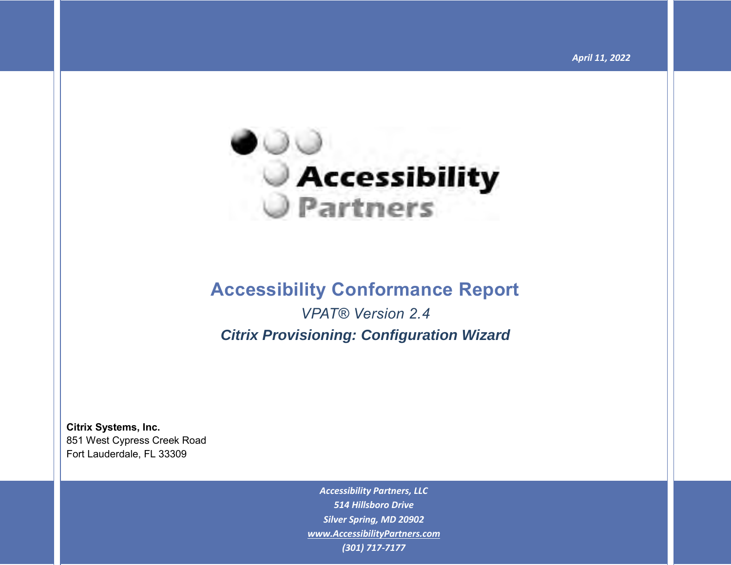

## **Accessibility Conformance Report**

*VPAT® Version 2.4 Citrix Provisioning: Configuration Wizard*

**Citrix Systems, Inc.** 851 West Cypress Creek Road Fort Lauderdale, FL 33309

> *Accessibility Partners, LLC 514 Hillsboro Drive Silver Spring, MD 20902 [www.AccessibilityPartners.com](http://www.accessibilitypartners.com/) (301) 717-7177*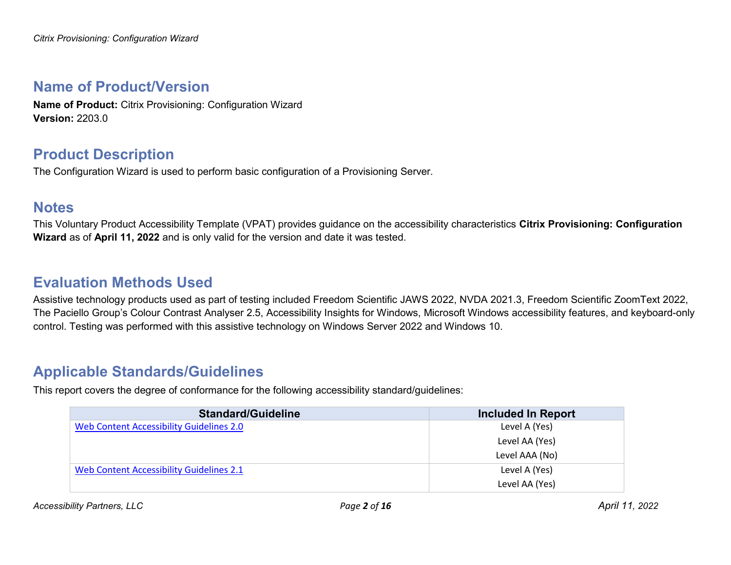### **Name of Product/Version**

**Name of Product:** Citrix Provisioning: Configuration Wizard **Version:** 2203.0

### **Product Description**

The Configuration Wizard is used to perform basic configuration of a Provisioning Server.

### **Notes**

This Voluntary Product Accessibility Template (VPAT) provides guidance on the accessibility characteristics **Citrix Provisioning: Configuration Wizard** as of **April 11, 2022** and is only valid for the version and date it was tested.

### **Evaluation Methods Used**

Assistive technology products used as part of testing included Freedom Scientific JAWS 2022, NVDA 2021.3, Freedom Scientific ZoomText 2022, The Paciello Group's Colour Contrast Analyser 2.5, Accessibility Insights for Windows, Microsoft Windows accessibility features, and keyboard-only control. Testing was performed with this assistive technology on Windows Server 2022 and Windows 10.

## **Applicable Standards/Guidelines**

This report covers the degree of conformance for the following accessibility standard/guidelines:

| <b>Standard/Guideline</b>                | <b>Included In Report</b> |
|------------------------------------------|---------------------------|
| Web Content Accessibility Guidelines 2.0 | Level A (Yes)             |
|                                          | Level AA (Yes)            |
|                                          | Level AAA (No)            |
| Web Content Accessibility Guidelines 2.1 | Level A (Yes)             |
|                                          | Level AA (Yes)            |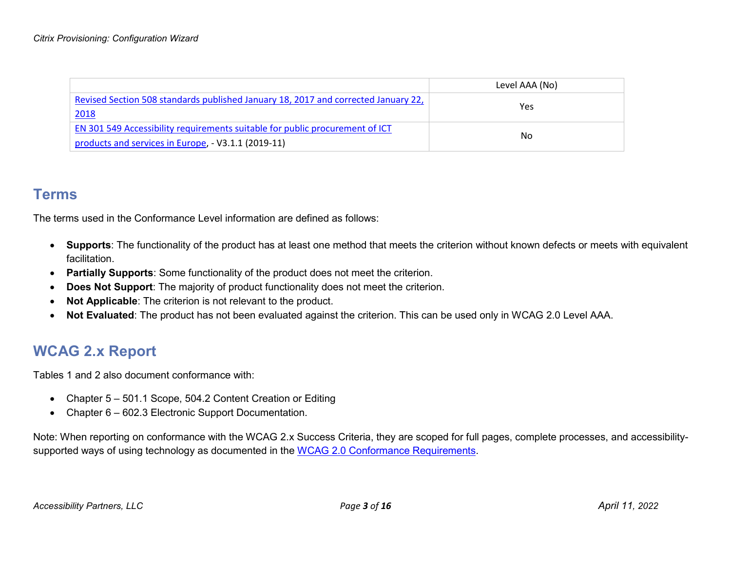|                                                                                                                                     | Level AAA (No) |
|-------------------------------------------------------------------------------------------------------------------------------------|----------------|
| Revised Section 508 standards published January 18, 2017 and corrected January 22,<br>2018                                          | Yes            |
| EN 301 549 Accessibility requirements suitable for public procurement of ICT<br>products and services in Europe, - V3.1.1 (2019-11) | No.            |

#### **Terms**

The terms used in the Conformance Level information are defined as follows:

- **Supports**: The functionality of the product has at least one method that meets the criterion without known defects or meets with equivalent facilitation.
- **Partially Supports**: Some functionality of the product does not meet the criterion.
- **Does Not Support**: The majority of product functionality does not meet the criterion.
- **Not Applicable**: The criterion is not relevant to the product.
- **Not Evaluated**: The product has not been evaluated against the criterion. This can be used only in WCAG 2.0 Level AAA.

## **WCAG 2.x Report**

Tables 1 and 2 also document conformance with:

- Chapter 5 501.1 Scope, 504.2 Content Creation or Editing
- Chapter 6 602.3 Electronic Support Documentation.

Note: When reporting on conformance with the WCAG 2.x Success Criteria, they are scoped for full pages, complete processes, and accessibility-supported ways of using technology as documented in the [WCAG 2.0 Conformance Requirements.](https://www.w3.org/TR/WCAG20/#conformance-reqs)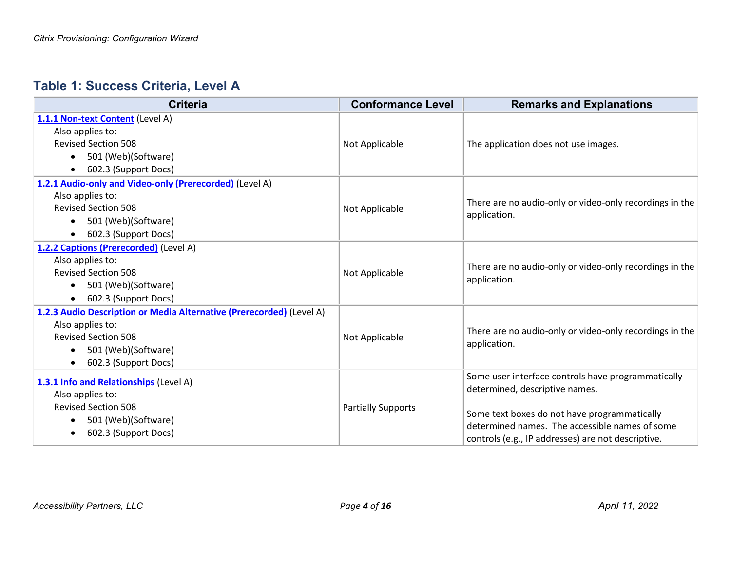### **Table 1: Success Criteria, Level A**

| <b>Criteria</b>                                                                                                                                                                                 | <b>Conformance Level</b>  | <b>Remarks and Explanations</b>                                                                                                                                                                                                              |
|-------------------------------------------------------------------------------------------------------------------------------------------------------------------------------------------------|---------------------------|----------------------------------------------------------------------------------------------------------------------------------------------------------------------------------------------------------------------------------------------|
| 1.1.1 Non-text Content (Level A)<br>Also applies to:<br><b>Revised Section 508</b><br>501 (Web)(Software)<br>$\bullet$<br>602.3 (Support Docs)<br>$\bullet$                                     | Not Applicable            | The application does not use images.                                                                                                                                                                                                         |
| 1.2.1 Audio-only and Video-only (Prerecorded) (Level A)<br>Also applies to:<br><b>Revised Section 508</b><br>501 (Web)(Software)<br>$\bullet$<br>602.3 (Support Docs)<br>$\bullet$              | Not Applicable            | There are no audio-only or video-only recordings in the<br>application.                                                                                                                                                                      |
| 1.2.2 Captions (Prerecorded) (Level A)<br>Also applies to:<br><b>Revised Section 508</b><br>501 (Web)(Software)<br>$\bullet$<br>602.3 (Support Docs)<br>٠                                       | Not Applicable            | There are no audio-only or video-only recordings in the<br>application.                                                                                                                                                                      |
| 1.2.3 Audio Description or Media Alternative (Prerecorded) (Level A)<br>Also applies to:<br><b>Revised Section 508</b><br>501 (Web)(Software)<br>$\bullet$<br>602.3 (Support Docs)<br>$\bullet$ | Not Applicable            | There are no audio-only or video-only recordings in the<br>application.                                                                                                                                                                      |
| 1.3.1 Info and Relationships (Level A)<br>Also applies to:<br><b>Revised Section 508</b><br>501 (Web)(Software)<br>$\bullet$<br>602.3 (Support Docs)<br>$\bullet$                               | <b>Partially Supports</b> | Some user interface controls have programmatically<br>determined, descriptive names.<br>Some text boxes do not have programmatically<br>determined names. The accessible names of some<br>controls (e.g., IP addresses) are not descriptive. |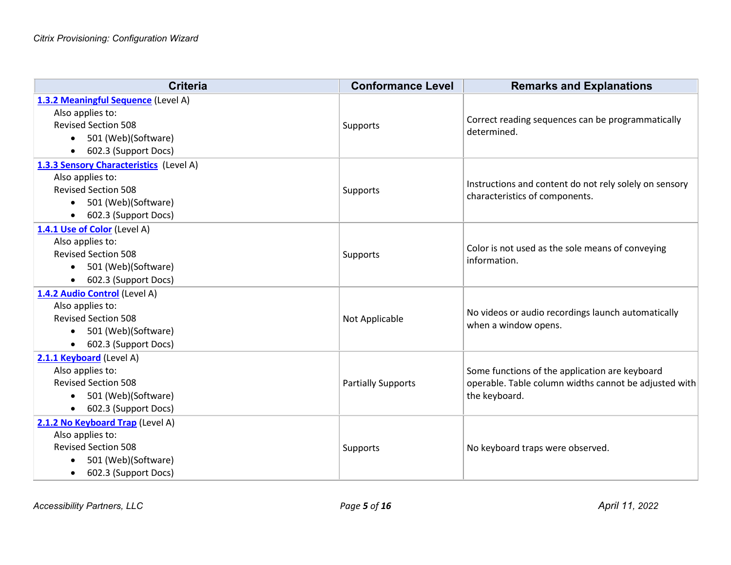| <b>Criteria</b>                                                                                                                                                    | <b>Conformance Level</b>  | <b>Remarks and Explanations</b>                                                                                          |
|--------------------------------------------------------------------------------------------------------------------------------------------------------------------|---------------------------|--------------------------------------------------------------------------------------------------------------------------|
| 1.3.2 Meaningful Sequence (Level A)<br>Also applies to:<br><b>Revised Section 508</b><br>501 (Web)(Software)<br>$\bullet$<br>602.3 (Support Docs)<br>$\bullet$     | Supports                  | Correct reading sequences can be programmatically<br>determined.                                                         |
| 1.3.3 Sensory Characteristics (Level A)<br>Also applies to:<br><b>Revised Section 508</b><br>501 (Web)(Software)<br>$\bullet$<br>602.3 (Support Docs)<br>$\bullet$ | Supports                  | Instructions and content do not rely solely on sensory<br>characteristics of components.                                 |
| 1.4.1 Use of Color (Level A)<br>Also applies to:<br><b>Revised Section 508</b><br>501 (Web)(Software)<br>$\bullet$<br>602.3 (Support Docs)<br>$\bullet$            | Supports                  | Color is not used as the sole means of conveying<br>information.                                                         |
| 1.4.2 Audio Control (Level A)<br>Also applies to:<br><b>Revised Section 508</b><br>501 (Web)(Software)<br>602.3 (Support Docs)<br>$\bullet$                        | Not Applicable            | No videos or audio recordings launch automatically<br>when a window opens.                                               |
| 2.1.1 Keyboard (Level A)<br>Also applies to:<br><b>Revised Section 508</b><br>501 (Web)(Software)<br>602.3 (Support Docs)<br>$\bullet$                             | <b>Partially Supports</b> | Some functions of the application are keyboard<br>operable. Table column widths cannot be adjusted with<br>the keyboard. |
| 2.1.2 No Keyboard Trap (Level A)<br>Also applies to:<br><b>Revised Section 508</b><br>501 (Web)(Software)<br>602.3 (Support Docs)<br>$\bullet$                     | Supports                  | No keyboard traps were observed.                                                                                         |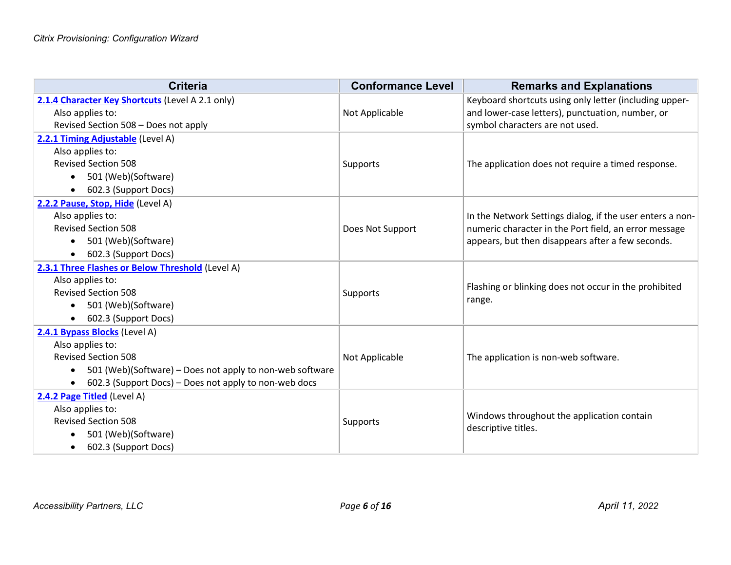| <b>Criteria</b>                                                       | <b>Conformance Level</b> | <b>Remarks and Explanations</b>                           |
|-----------------------------------------------------------------------|--------------------------|-----------------------------------------------------------|
| 2.1.4 Character Key Shortcuts (Level A 2.1 only)                      |                          | Keyboard shortcuts using only letter (including upper-    |
| Also applies to:                                                      | Not Applicable           | and lower-case letters), punctuation, number, or          |
| Revised Section 508 - Does not apply                                  |                          | symbol characters are not used.                           |
| 2.2.1 Timing Adjustable (Level A)                                     |                          |                                                           |
| Also applies to:                                                      |                          |                                                           |
| <b>Revised Section 508</b>                                            | Supports                 | The application does not require a timed response.        |
| 501 (Web)(Software)<br>$\bullet$                                      |                          |                                                           |
| 602.3 (Support Docs)<br>$\bullet$                                     |                          |                                                           |
| 2.2.2 Pause, Stop, Hide (Level A)                                     |                          |                                                           |
| Also applies to:                                                      |                          | In the Network Settings dialog, if the user enters a non- |
| <b>Revised Section 508</b>                                            | Does Not Support         | numeric character in the Port field, an error message     |
| 501 (Web)(Software)<br>$\bullet$                                      |                          | appears, but then disappears after a few seconds.         |
| 602.3 (Support Docs)<br>$\bullet$                                     |                          |                                                           |
| 2.3.1 Three Flashes or Below Threshold (Level A)                      |                          |                                                           |
| Also applies to:                                                      |                          | Flashing or blinking does not occur in the prohibited     |
| <b>Revised Section 508</b>                                            | Supports                 | range.                                                    |
| 501 (Web)(Software)<br>$\bullet$                                      |                          |                                                           |
| 602.3 (Support Docs)                                                  |                          |                                                           |
| 2.4.1 Bypass Blocks (Level A)                                         |                          |                                                           |
| Also applies to:                                                      |                          |                                                           |
| <b>Revised Section 508</b>                                            | Not Applicable           | The application is non-web software.                      |
| 501 (Web)(Software) – Does not apply to non-web software<br>$\bullet$ |                          |                                                           |
| 602.3 (Support Docs) - Does not apply to non-web docs<br>$\bullet$    |                          |                                                           |
| 2.4.2 Page Titled (Level A)                                           |                          |                                                           |
| Also applies to:                                                      |                          | Windows throughout the application contain                |
| <b>Revised Section 508</b>                                            | Supports                 | descriptive titles.                                       |
| 501 (Web)(Software)<br>$\bullet$                                      |                          |                                                           |
| 602.3 (Support Docs)<br>$\bullet$                                     |                          |                                                           |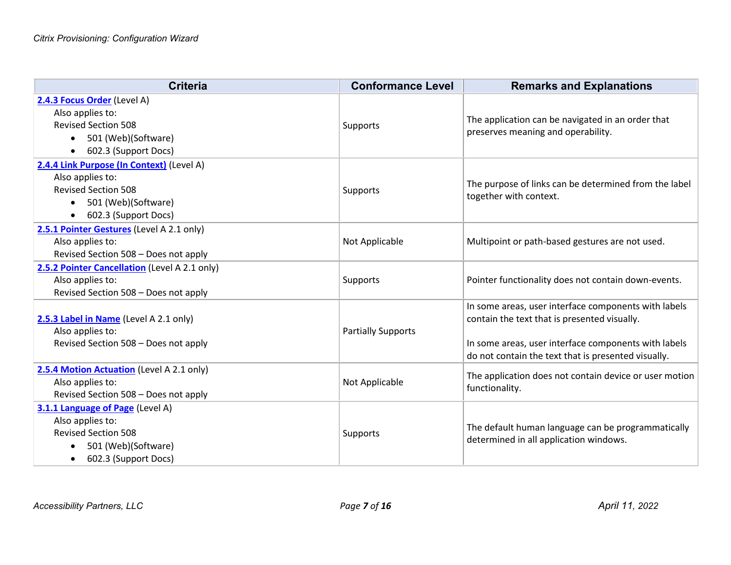| <b>Criteria</b>                                                                                                                                                      | <b>Conformance Level</b>  | <b>Remarks and Explanations</b>                                                                                                                                                                                     |
|----------------------------------------------------------------------------------------------------------------------------------------------------------------------|---------------------------|---------------------------------------------------------------------------------------------------------------------------------------------------------------------------------------------------------------------|
| 2.4.3 Focus Order (Level A)<br>Also applies to:<br><b>Revised Section 508</b><br>501 (Web)(Software)<br>$\bullet$<br>602.3 (Support Docs)<br>$\bullet$               | Supports                  | The application can be navigated in an order that<br>preserves meaning and operability.                                                                                                                             |
| 2.4.4 Link Purpose (In Context) (Level A)<br>Also applies to:<br><b>Revised Section 508</b><br>501 (Web)(Software)<br>$\bullet$<br>602.3 (Support Docs)<br>$\bullet$ | Supports                  | The purpose of links can be determined from the label<br>together with context.                                                                                                                                     |
| 2.5.1 Pointer Gestures (Level A 2.1 only)<br>Also applies to:<br>Revised Section 508 - Does not apply                                                                | Not Applicable            | Multipoint or path-based gestures are not used.                                                                                                                                                                     |
| 2.5.2 Pointer Cancellation (Level A 2.1 only)<br>Also applies to:<br>Revised Section 508 - Does not apply                                                            | Supports                  | Pointer functionality does not contain down-events.                                                                                                                                                                 |
| 2.5.3 Label in Name (Level A 2.1 only)<br>Also applies to:<br>Revised Section 508 - Does not apply                                                                   | <b>Partially Supports</b> | In some areas, user interface components with labels<br>contain the text that is presented visually.<br>In some areas, user interface components with labels<br>do not contain the text that is presented visually. |
| 2.5.4 Motion Actuation (Level A 2.1 only)<br>Also applies to:<br>Revised Section 508 - Does not apply                                                                | Not Applicable            | The application does not contain device or user motion<br>functionality.                                                                                                                                            |
| 3.1.1 Language of Page (Level A)<br>Also applies to:<br><b>Revised Section 508</b><br>501 (Web)(Software)<br>$\bullet$<br>602.3 (Support Docs)<br>$\bullet$          | Supports                  | The default human language can be programmatically<br>determined in all application windows.                                                                                                                        |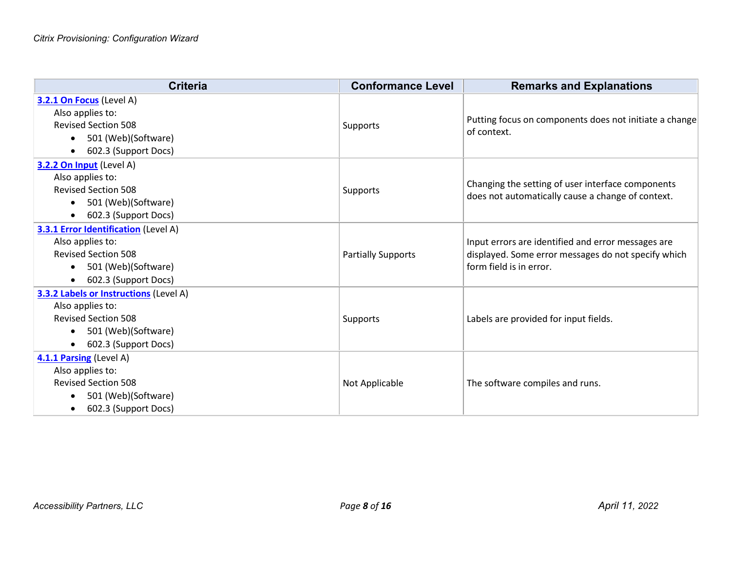| <b>Criteria</b>                             | <b>Conformance Level</b>  | <b>Remarks and Explanations</b>                                                                        |
|---------------------------------------------|---------------------------|--------------------------------------------------------------------------------------------------------|
| 3.2.1 On Focus (Level A)                    |                           |                                                                                                        |
| Also applies to:                            |                           |                                                                                                        |
| <b>Revised Section 508</b>                  | Supports                  | Putting focus on components does not initiate a change<br>of context.                                  |
| 501 (Web)(Software)<br>$\bullet$            |                           |                                                                                                        |
| 602.3 (Support Docs)<br>$\bullet$           |                           |                                                                                                        |
| 3.2.2 On Input (Level A)                    |                           |                                                                                                        |
| Also applies to:                            |                           |                                                                                                        |
| <b>Revised Section 508</b>                  | Supports                  | Changing the setting of user interface components<br>does not automatically cause a change of context. |
| 501 (Web)(Software)<br>$\bullet$            |                           |                                                                                                        |
| 602.3 (Support Docs)<br>$\bullet$           |                           |                                                                                                        |
| <b>3.3.1 Error Identification</b> (Level A) |                           |                                                                                                        |
| Also applies to:                            |                           | Input errors are identified and error messages are                                                     |
| <b>Revised Section 508</b>                  | <b>Partially Supports</b> | displayed. Some error messages do not specify which                                                    |
| 501 (Web)(Software)<br>$\bullet$            |                           | form field is in error.                                                                                |
| 602.3 (Support Docs)<br>$\bullet$           |                           |                                                                                                        |
| 3.3.2 Labels or Instructions (Level A)      |                           |                                                                                                        |
| Also applies to:                            |                           |                                                                                                        |
| <b>Revised Section 508</b>                  | Supports                  | Labels are provided for input fields.                                                                  |
| 501 (Web)(Software)<br>$\bullet$            |                           |                                                                                                        |
| 602.3 (Support Docs)<br>$\bullet$           |                           |                                                                                                        |
| 4.1.1 Parsing (Level A)                     |                           |                                                                                                        |
| Also applies to:                            |                           |                                                                                                        |
| <b>Revised Section 508</b>                  | Not Applicable            | The software compiles and runs.                                                                        |
| 501 (Web)(Software)<br>$\bullet$            |                           |                                                                                                        |
| 602.3 (Support Docs)<br>$\bullet$           |                           |                                                                                                        |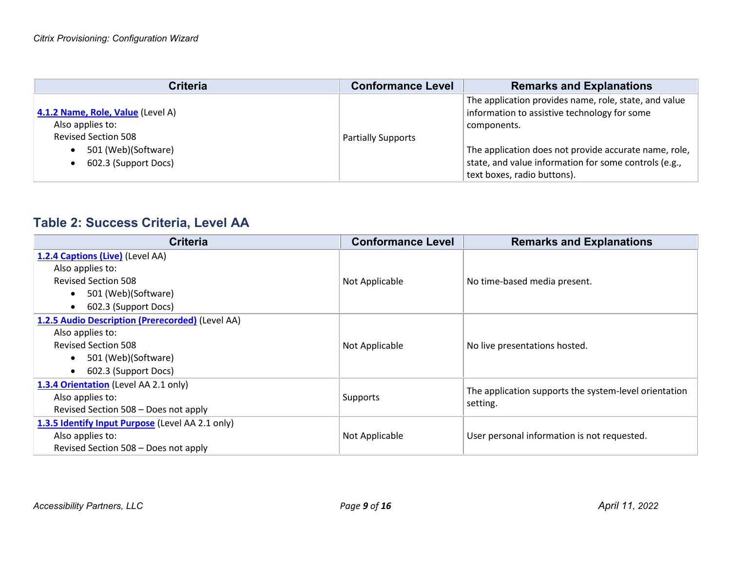| <b>Criteria</b>                                                                                                                                              | <b>Conformance Level</b>  | <b>Remarks and Explanations</b>                                                                                                                                                                                                                                       |
|--------------------------------------------------------------------------------------------------------------------------------------------------------------|---------------------------|-----------------------------------------------------------------------------------------------------------------------------------------------------------------------------------------------------------------------------------------------------------------------|
| 4.1.2 Name, Role, Value (Level A)<br>Also applies to:<br><b>Revised Section 508</b><br>501 (Web)(Software)<br>$\bullet$<br>602.3 (Support Docs)<br>$\bullet$ | <b>Partially Supports</b> | The application provides name, role, state, and value<br>information to assistive technology for some<br>components.<br>The application does not provide accurate name, role,<br>state, and value information for some controls (e.g.,<br>text boxes, radio buttons). |

### **Table 2: Success Criteria, Level AA**

| <b>Criteria</b>                                  | <b>Conformance Level</b> | <b>Remarks and Explanations</b>                       |
|--------------------------------------------------|--------------------------|-------------------------------------------------------|
| 1.2.4 Captions (Live) (Level AA)                 |                          |                                                       |
| Also applies to:                                 |                          |                                                       |
| <b>Revised Section 508</b>                       | Not Applicable           | No time-based media present.                          |
| 501 (Web)(Software)<br>$\bullet$                 |                          |                                                       |
| 602.3 (Support Docs)<br>$\bullet$                |                          |                                                       |
| 1.2.5 Audio Description (Prerecorded) (Level AA) |                          |                                                       |
| Also applies to:                                 |                          |                                                       |
| <b>Revised Section 508</b>                       | Not Applicable           | No live presentations hosted.                         |
| 501 (Web)(Software)<br>$\bullet$                 |                          |                                                       |
| 602.3 (Support Docs)<br>$\bullet$                |                          |                                                       |
| 1.3.4 Orientation (Level AA 2.1 only)            |                          |                                                       |
| Also applies to:                                 | Supports                 | The application supports the system-level orientation |
| Revised Section 508 - Does not apply             |                          | setting.                                              |
| 1.3.5 Identify Input Purpose (Level AA 2.1 only) |                          |                                                       |
| Also applies to:                                 | Not Applicable           | User personal information is not requested.           |
| Revised Section 508 - Does not apply             |                          |                                                       |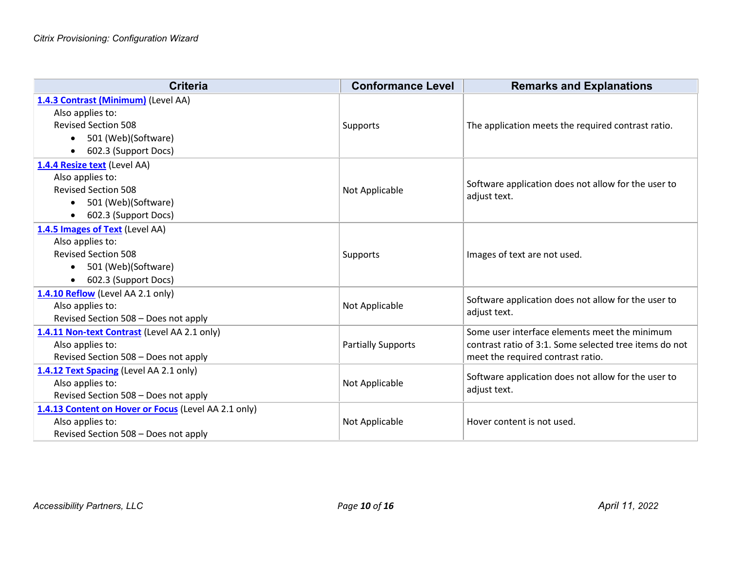| <b>Criteria</b>                                                                                                                                                | <b>Conformance Level</b>  | <b>Remarks and Explanations</b>                                                                                                              |
|----------------------------------------------------------------------------------------------------------------------------------------------------------------|---------------------------|----------------------------------------------------------------------------------------------------------------------------------------------|
| 1.4.3 Contrast (Minimum) (Level AA)<br>Also applies to:<br><b>Revised Section 508</b><br>501 (Web)(Software)<br>$\bullet$<br>602.3 (Support Docs)<br>$\bullet$ | Supports                  | The application meets the required contrast ratio.                                                                                           |
| 1.4.4 Resize text (Level AA)<br>Also applies to:<br><b>Revised Section 508</b><br>501 (Web)(Software)<br>$\bullet$<br>602.3 (Support Docs)<br>$\bullet$        | Not Applicable            | Software application does not allow for the user to<br>adjust text.                                                                          |
| 1.4.5 Images of Text (Level AA)<br>Also applies to:<br><b>Revised Section 508</b><br>501 (Web)(Software)<br>$\bullet$<br>602.3 (Support Docs)<br>$\bullet$     | <b>Supports</b>           | Images of text are not used.                                                                                                                 |
| 1.4.10 Reflow (Level AA 2.1 only)<br>Also applies to:<br>Revised Section 508 - Does not apply                                                                  | Not Applicable            | Software application does not allow for the user to<br>adjust text.                                                                          |
| 1.4.11 Non-text Contrast (Level AA 2.1 only)<br>Also applies to:<br>Revised Section 508 - Does not apply                                                       | <b>Partially Supports</b> | Some user interface elements meet the minimum<br>contrast ratio of 3:1. Some selected tree items do not<br>meet the required contrast ratio. |
| 1.4.12 Text Spacing (Level AA 2.1 only)<br>Also applies to:<br>Revised Section 508 - Does not apply                                                            | Not Applicable            | Software application does not allow for the user to<br>adjust text.                                                                          |
| 1.4.13 Content on Hover or Focus (Level AA 2.1 only)<br>Also applies to:<br>Revised Section 508 - Does not apply                                               | Not Applicable            | Hover content is not used.                                                                                                                   |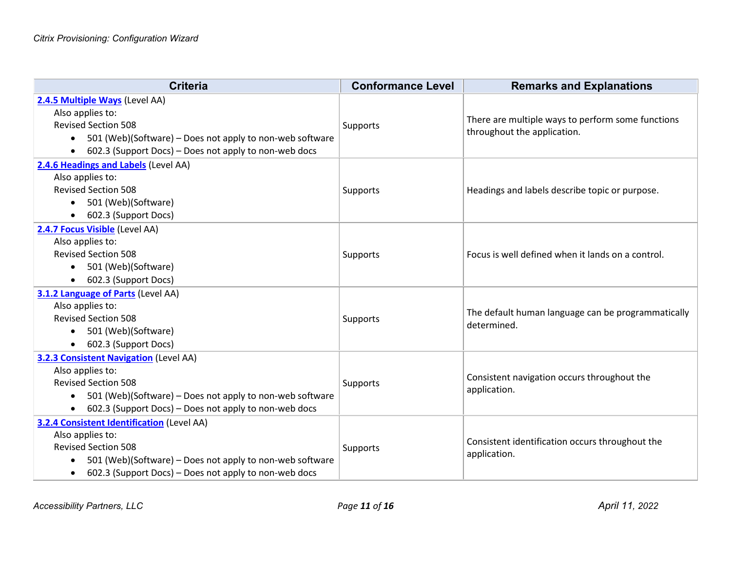| <b>Criteria</b>                                                       | <b>Conformance Level</b> | <b>Remarks and Explanations</b>                                                  |
|-----------------------------------------------------------------------|--------------------------|----------------------------------------------------------------------------------|
| 2.4.5 Multiple Ways (Level AA)                                        |                          |                                                                                  |
| Also applies to:                                                      | Supports                 | There are multiple ways to perform some functions<br>throughout the application. |
| <b>Revised Section 508</b>                                            |                          |                                                                                  |
| 501 (Web)(Software) – Does not apply to non-web software<br>$\bullet$ |                          |                                                                                  |
| 602.3 (Support Docs) - Does not apply to non-web docs<br>$\bullet$    |                          |                                                                                  |
| 2.4.6 Headings and Labels (Level AA)                                  |                          |                                                                                  |
| Also applies to:                                                      |                          |                                                                                  |
| <b>Revised Section 508</b>                                            | <b>Supports</b>          | Headings and labels describe topic or purpose.                                   |
| 501 (Web)(Software)<br>$\bullet$                                      |                          |                                                                                  |
| 602.3 (Support Docs)<br>$\bullet$                                     |                          |                                                                                  |
| 2.4.7 Focus Visible (Level AA)                                        |                          |                                                                                  |
| Also applies to:                                                      |                          |                                                                                  |
| <b>Revised Section 508</b>                                            | Supports                 | Focus is well defined when it lands on a control.                                |
| 501 (Web)(Software)<br>$\bullet$                                      |                          |                                                                                  |
| 602.3 (Support Docs)<br>$\bullet$                                     |                          |                                                                                  |
| 3.1.2 Language of Parts (Level AA)                                    |                          |                                                                                  |
| Also applies to:                                                      |                          | The default human language can be programmatically                               |
| <b>Revised Section 508</b>                                            | <b>Supports</b>          | determined.                                                                      |
| 501 (Web)(Software)<br>$\bullet$                                      |                          |                                                                                  |
| 602.3 (Support Docs)<br>$\bullet$                                     |                          |                                                                                  |
| <b>3.2.3 Consistent Navigation (Level AA)</b>                         |                          |                                                                                  |
| Also applies to:                                                      |                          | Consistent navigation occurs throughout the                                      |
| <b>Revised Section 508</b>                                            | Supports                 | application.                                                                     |
| 501 (Web)(Software) - Does not apply to non-web software<br>$\bullet$ |                          |                                                                                  |
| 602.3 (Support Docs) – Does not apply to non-web docs<br>$\bullet$    |                          |                                                                                  |
| <b>3.2.4 Consistent Identification (Level AA)</b>                     |                          |                                                                                  |
| Also applies to:                                                      |                          | Consistent identification occurs throughout the                                  |
| <b>Revised Section 508</b>                                            | Supports                 | application.                                                                     |
| 501 (Web)(Software) - Does not apply to non-web software<br>$\bullet$ |                          |                                                                                  |
| 602.3 (Support Docs) – Does not apply to non-web docs<br>$\bullet$    |                          |                                                                                  |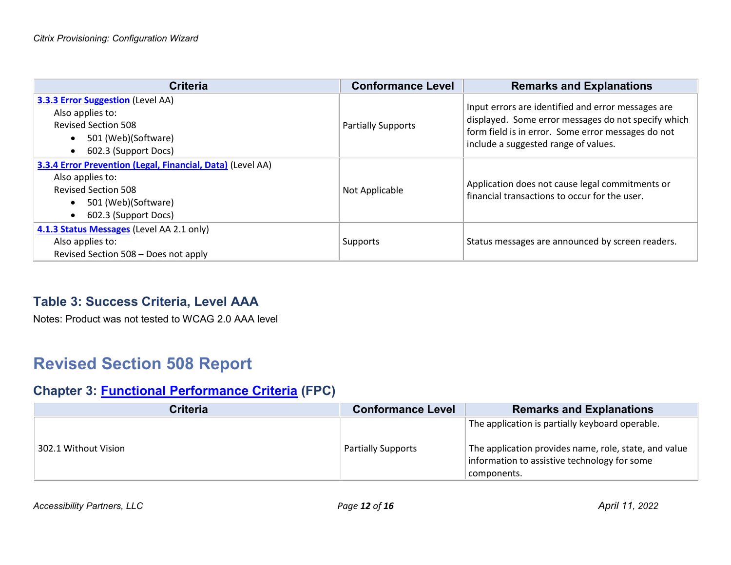| <b>Criteria</b>                                                                                                                                                                       | <b>Conformance Level</b>  | <b>Remarks and Explanations</b>                                                                                                                                                                         |
|---------------------------------------------------------------------------------------------------------------------------------------------------------------------------------------|---------------------------|---------------------------------------------------------------------------------------------------------------------------------------------------------------------------------------------------------|
| <b>3.3.3 Error Suggestion (Level AA)</b><br>Also applies to:<br><b>Revised Section 508</b><br>501 (Web)(Software)<br>$\bullet$<br>602.3 (Support Docs)<br>$\bullet$                   | <b>Partially Supports</b> | Input errors are identified and error messages are<br>displayed. Some error messages do not specify which<br>form field is in error. Some error messages do not<br>include a suggested range of values. |
| 3.3.4 Error Prevention (Legal, Financial, Data) (Level AA)<br>Also applies to:<br><b>Revised Section 508</b><br>501 (Web)(Software)<br>$\bullet$<br>602.3 (Support Docs)<br>$\bullet$ | Not Applicable            | Application does not cause legal commitments or<br>financial transactions to occur for the user.                                                                                                        |
| 4.1.3 Status Messages (Level AA 2.1 only)<br>Also applies to:<br>Revised Section 508 - Does not apply                                                                                 | Supports                  | Status messages are announced by screen readers.                                                                                                                                                        |

#### **Table 3: Success Criteria, Level AAA**

Notes: Product was not tested to WCAG 2.0 AAA level

# **Revised Section 508 Report**

### **Chapter 3: [Functional Performance Criteria](https://www.access-board.gov/guidelines-and-standards/communications-and-it/about-the-ict-refresh/final-rule/text-of-the-standards-and-guidelines#302-functional-performance-criteria) (FPC)**

| <b>Conformance Level</b>  | <b>Remarks and Explanations</b>                                                                                                                                         |
|---------------------------|-------------------------------------------------------------------------------------------------------------------------------------------------------------------------|
| <b>Partially Supports</b> | The application is partially keyboard operable.<br>The application provides name, role, state, and value<br>information to assistive technology for some<br>components. |
|                           |                                                                                                                                                                         |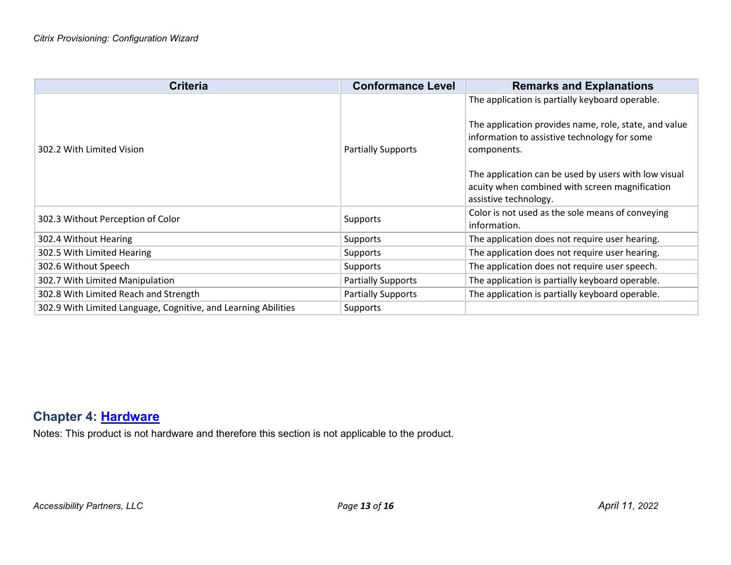| <b>Criteria</b>                                                | <b>Conformance Level</b>  | <b>Remarks and Explanations</b>                                                                                                                                                                                                                                                                            |
|----------------------------------------------------------------|---------------------------|------------------------------------------------------------------------------------------------------------------------------------------------------------------------------------------------------------------------------------------------------------------------------------------------------------|
| 302.2 With Limited Vision                                      | <b>Partially Supports</b> | The application is partially keyboard operable.<br>The application provides name, role, state, and value<br>information to assistive technology for some<br>components.<br>The application can be used by users with low visual<br>acuity when combined with screen magnification<br>assistive technology. |
| 302.3 Without Perception of Color                              | <b>Supports</b>           | Color is not used as the sole means of conveying<br>information.                                                                                                                                                                                                                                           |
| 302.4 Without Hearing                                          | Supports                  | The application does not require user hearing.                                                                                                                                                                                                                                                             |
| 302.5 With Limited Hearing                                     | <b>Supports</b>           | The application does not require user hearing.                                                                                                                                                                                                                                                             |
| 302.6 Without Speech                                           | <b>Supports</b>           | The application does not require user speech.                                                                                                                                                                                                                                                              |
| 302.7 With Limited Manipulation                                | <b>Partially Supports</b> | The application is partially keyboard operable.                                                                                                                                                                                                                                                            |
| 302.8 With Limited Reach and Strength                          | <b>Partially Supports</b> | The application is partially keyboard operable.                                                                                                                                                                                                                                                            |
| 302.9 With Limited Language, Cognitive, and Learning Abilities | <b>Supports</b>           |                                                                                                                                                                                                                                                                                                            |

### **Chapter 4: [Hardware](https://www.access-board.gov/guidelines-and-standards/communications-and-it/about-the-ict-refresh/final-rule/text-of-the-standards-and-guidelines#401-general)**

Notes: This product is not hardware and therefore this section is not applicable to the product.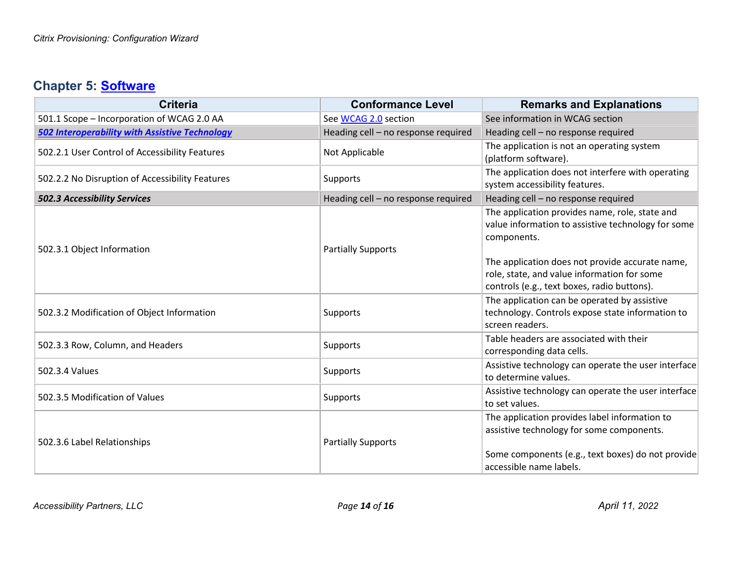### **Chapter 5: [Software](https://www.access-board.gov/guidelines-and-standards/communications-and-it/about-the-ict-refresh/final-rule/text-of-the-standards-and-guidelines#501-general)**

| <b>Criteria</b>                                       | <b>Conformance Level</b>            | <b>Remarks and Explanations</b>                                                                                                                                                                                                                                      |
|-------------------------------------------------------|-------------------------------------|----------------------------------------------------------------------------------------------------------------------------------------------------------------------------------------------------------------------------------------------------------------------|
| 501.1 Scope - Incorporation of WCAG 2.0 AA            | See WCAG 2.0 section                | See information in WCAG section                                                                                                                                                                                                                                      |
| <b>502 Interoperability with Assistive Technology</b> | Heading cell - no response required | Heading cell - no response required                                                                                                                                                                                                                                  |
| 502.2.1 User Control of Accessibility Features        | Not Applicable                      | The application is not an operating system<br>(platform software).                                                                                                                                                                                                   |
| 502.2.2 No Disruption of Accessibility Features       | Supports                            | The application does not interfere with operating<br>system accessibility features.                                                                                                                                                                                  |
| <b>502.3 Accessibility Services</b>                   | Heading cell - no response required | Heading cell - no response required                                                                                                                                                                                                                                  |
| 502.3.1 Object Information                            | <b>Partially Supports</b>           | The application provides name, role, state and<br>value information to assistive technology for some<br>components.<br>The application does not provide accurate name,<br>role, state, and value information for some<br>controls (e.g., text boxes, radio buttons). |
| 502.3.2 Modification of Object Information            | Supports                            | The application can be operated by assistive<br>technology. Controls expose state information to<br>screen readers.                                                                                                                                                  |
| 502.3.3 Row, Column, and Headers                      | Supports                            | Table headers are associated with their<br>corresponding data cells.                                                                                                                                                                                                 |
| 502.3.4 Values                                        | Supports                            | Assistive technology can operate the user interface<br>to determine values.                                                                                                                                                                                          |
| 502.3.5 Modification of Values                        | Supports                            | Assistive technology can operate the user interface<br>to set values.                                                                                                                                                                                                |
| 502.3.6 Label Relationships                           | <b>Partially Supports</b>           | The application provides label information to<br>assistive technology for some components.<br>Some components (e.g., text boxes) do not provide<br>accessible name labels.                                                                                           |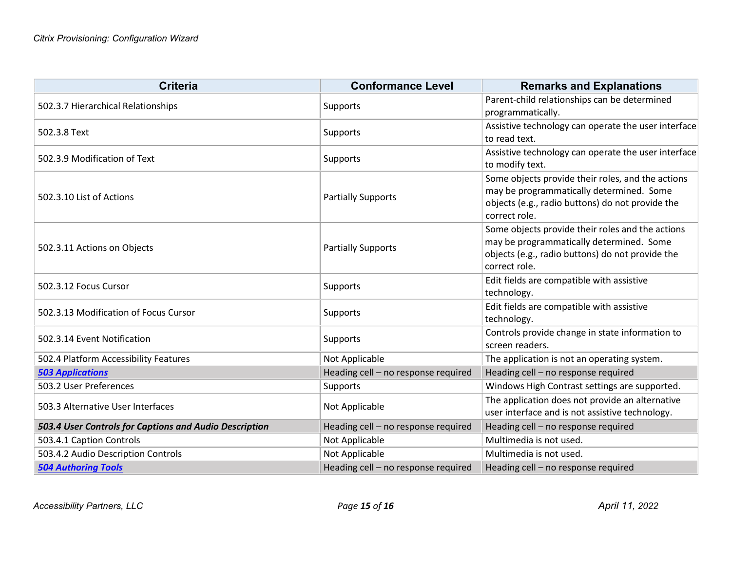| <b>Criteria</b>                                        | <b>Conformance Level</b>            | <b>Remarks and Explanations</b>                                                              |
|--------------------------------------------------------|-------------------------------------|----------------------------------------------------------------------------------------------|
| 502.3.7 Hierarchical Relationships                     | <b>Supports</b>                     | Parent-child relationships can be determined                                                 |
|                                                        |                                     | programmatically.                                                                            |
| 502.3.8 Text                                           | <b>Supports</b>                     | Assistive technology can operate the user interface                                          |
|                                                        |                                     | to read text.                                                                                |
| 502.3.9 Modification of Text                           | Supports                            | Assistive technology can operate the user interface                                          |
|                                                        |                                     | to modify text.                                                                              |
|                                                        |                                     | Some objects provide their roles, and the actions                                            |
| 502.3.10 List of Actions                               | <b>Partially Supports</b>           | may be programmatically determined. Some<br>objects (e.g., radio buttons) do not provide the |
|                                                        |                                     | correct role.                                                                                |
|                                                        |                                     | Some objects provide their roles and the actions                                             |
|                                                        | <b>Partially Supports</b>           | may be programmatically determined. Some                                                     |
| 502.3.11 Actions on Objects                            |                                     | objects (e.g., radio buttons) do not provide the                                             |
|                                                        |                                     | correct role.                                                                                |
|                                                        |                                     | Edit fields are compatible with assistive                                                    |
| 502.3.12 Focus Cursor                                  | <b>Supports</b>                     | technology.                                                                                  |
| 502.3.13 Modification of Focus Cursor                  | Supports                            | Edit fields are compatible with assistive                                                    |
|                                                        |                                     | technology.                                                                                  |
| 502.3.14 Event Notification                            | <b>Supports</b>                     | Controls provide change in state information to                                              |
|                                                        |                                     | screen readers.                                                                              |
| 502.4 Platform Accessibility Features                  | Not Applicable                      | The application is not an operating system.                                                  |
| <b>503 Applications</b>                                | Heading cell - no response required | Heading cell - no response required                                                          |
| 503.2 User Preferences                                 | <b>Supports</b>                     | Windows High Contrast settings are supported.                                                |
| 503.3 Alternative User Interfaces                      | Not Applicable                      | The application does not provide an alternative                                              |
|                                                        |                                     | user interface and is not assistive technology.                                              |
| 503.4 User Controls for Captions and Audio Description | Heading cell - no response required | Heading cell - no response required                                                          |
| 503.4.1 Caption Controls                               | Not Applicable                      | Multimedia is not used.                                                                      |
| 503.4.2 Audio Description Controls                     | Not Applicable                      | Multimedia is not used.                                                                      |
| <b>504 Authoring Tools</b>                             | Heading cell - no response required | Heading cell - no response required                                                          |